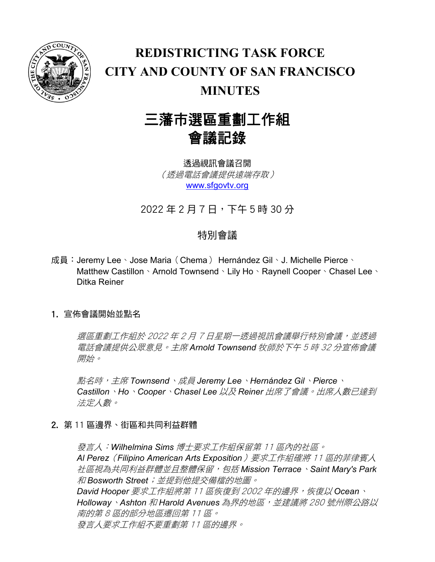

## **REDISTRICTING TASK FORCE CITY AND COUNTY OF SAN FRANCISCO MINUTES**

# 三藩市選區重劃工作組 會議記錄

透過視訊會議召開 (透過電話會議提供遠端存取) [www.sfgovtv.org](http://www.sfgovtv.org/)

2022 年 2 月 7 日,下午 5 時 30 分

### 特別會議

成員: Jeremy Lee、Jose Maria (Chema) Hernández Gil、J. Michelle Pierce、 Matthew Castillon、Arnold Townsend、Lily Ho、Raynell Cooper、Chasel Lee、 Ditka Reiner

### 1. 宣佈會議開始並點名

選區重劃工作組於 2022 年 2 月 7 日星期一透過視訊會議舉行特別會議, 並透過 電話會議提供公眾意見。主席 *Arnold Townsend* 牧師於下午 <sup>5</sup> 時 <sup>32</sup> 分宣佈會議 開始。

點名時,主席 *Townsend*、成員 *Jeremy Lee*、*Hernández Gil*、*Pierce*、 *Castillon*、*Ho*、*Cooper*、*Chasel Lee* 以及 *Reiner* 出席了會議。出席人數已達到 法定人數。

2. 第 11 區邊界、街區和共同利益群體

發言人:*Wilhelmina Sims* 博士要求工作組保留第 <sup>11</sup> 區內的社區。 *Al Perez*(*Filipino American Arts Exposition*)要求工作組確將 <sup>11</sup> 區的菲律賓人 社區視為共同利益群體並且整體保留,包括 *Mission Terrace*、*Saint Mary's Park* 和 *Bosworth Street*;並提到他提交備檔的地圖。 *David Hooper* 要求工作組將第 <sup>11</sup> 區恢復到 <sup>2002</sup> 年的邊界,恢復以 *Ocean*、 *Holloway*、*Ashton* 和 *Harold Avenues* 為界的地區,並建議將 <sup>280</sup> 號州際公路以 南的第 8 區的部分地區遷回第 11 區。 發言人要求工作組不要重劃第 11 區的邊界。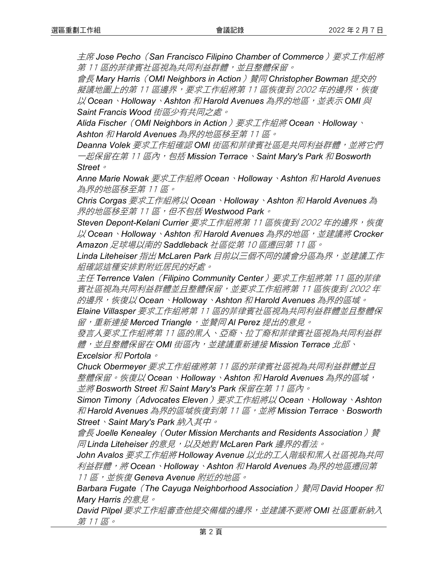主席 *Jose Pecho*(*San Francisco Filipino Chamber of Commerce*)要求工作組將 第11區的菲律賓社區視為共同利益群體,並且整體保留。

會長 *Mary Harris*(*OMI Neighbors in Action*)贊同 *Christopher Bowman* 提交的 擬議地圖上的第 11 區邊界,要求工作組將第 11 區恢復到 2002 年的邊界,恢復  $\n <i>U</i>/Ocean`$ *Holloway`Ashton 和 Harold Avenues 為界的地區,並表示 OMI 與 Saint Francis Wood* 街區少有共同之處。

*Alida Fischer*(*OMI Neighbors in Action*)要求工作組將 *Ocean*、*Holloway*、 *Ashton* 和 *Harold Avenues* 為界的地區移至第 <sup>11</sup> 區。

*Deanna Volek* 要求工作組確認 *OMI* 街區和菲律賓社區是共同利益群體,並將它們 一起保留在第 <sup>11</sup> 區內,包括 *Mission Terrace*、*Saint Mary's Park* 和 *Bosworth Street*。

*Anne Marie Nowak* 要求工作組將 *Ocean*、*Holloway*、*Ashton* 和 *Harold Avenues* 為界的地區移至第 11 區。

*Chris Corgas* 要求工作組將以 *Ocean*、*Holloway*、*Ashton* 和 *Harold Avenues* 為 界的地區移至第 <sup>11</sup> 區,但不包括 *Westwood Park*。

*Steven Depont-Kelani Currier* 要求工作組將第 <sup>11</sup> 區恢復到 <sup>2002</sup> 年的邊界,恢復 以 *Ocean*、*Holloway*、*Ashton* 和 *Harold Avenues* 為界的地區,並建議將 *Crocker Amazon* 足球場以南的 *Saddleback* 社區從第 <sup>10</sup> 區遷回第 <sup>11</sup> 區。

*Linda Liteheiser* 指出 *McLaren Park* 目前以三個不同的議會分區為界,並建議工作 組確認這種安排對附近居民的好處。

主任 *Terrence Valen*(*Filipino Community Center*)要求工作組將第 <sup>11</sup> 區的菲律 賓社區視為共同利益群體並且整體保留,並要求工作組將第 11 區恢復到 2002 年 的邊界,恢復以 *Ocean*、*Holloway*、*Ashton* 和 *Harold Avenues* 為界的區域。

*Elaine Villasper* 要求工作組將第 <sup>11</sup> 區的菲律賓社區視為共同利益群體並且整體保 留,重新連接 *Merced Triangle*,並贊同 *Al Perez* 提出的意見。

發言人要求工作組將第 11 區的黑人、亞裔、拉丁裔和菲律賓社區視為共同利益群 體,並且整體保留在 *OMI* 街區內,並建議重新連接 *Mission Terrace* 北部、 *Excelsior* 和 *Portola*。

*Chuck Obermeyer* 要求工作組確將第 <sup>11</sup> 區的菲律賓社區視為共同利益群體並且 整體保留。恢復以 *Ocean*、*Holloway*、*Ashton* 和 *Harold Avenues* 為界的區域, 並將 *Bosworth Street* 和 *Saint Mary's Park* 保留在第 <sup>11</sup> 區內。

*Simon Timony*(*Advocates Eleven*)要求工作組將以 *Ocean*、*Holloway*、*Ashton* 和 *Harold Avenues* 為界的區域恢復到第 <sup>11</sup> 區,並將 *Mission Terrace*、*Bosworth Street*、*Saint Mary's Park* 納入其中。

會長 Joelle Kenealey (Outer Mission Merchants and Residents Association) *贊 同* Linda Liteheiser *的意見,以及她對 McLaren Park 邊界的看法。* 

*John Avalos* 要求工作組將 *Holloway Avenue* 以北的工人階級和黑人社區視為共同 利益群體,將 *Ocean*、*Holloway*、*Ashton* 和 *Harold Avenues* 為界的地區遷回第 11 區,並恢復 *Geneva Avenue* 附近的地區。

*Barbara Fugate*(*The Cayuga Neighborhood Association*)贊同 *David Hooper* 和 *Mary Harris* 的意見。

*David Pilpel* 要求工作組審查他提交備檔的邊界,並建議不要將 *OMI* 社區重新納入 第 11 區。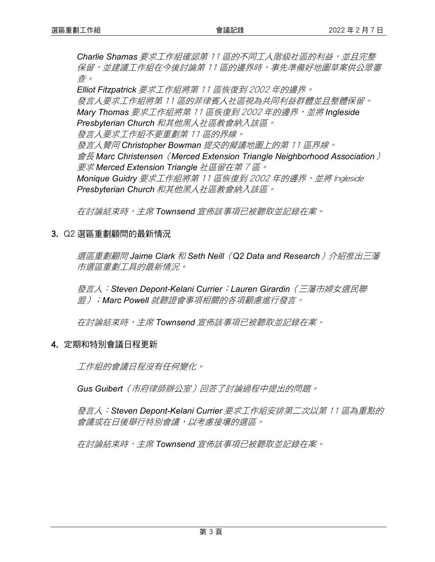**Charlie Shamas** 要求工作組確認第 11 區的不同工人階級社區的利益,並且完整 保留,並建議工作組在今後討論第 11 區的邊界時,事先準備好地圖草案供公眾審 查。

*Elliot Fitzpatrick* 要求工作組將第 <sup>11</sup> 區恢復到 <sup>2002</sup> 年的邊界。 發言人要求工作組將第 11 區的菲律賓人社區視為共同利益群體並且整體保留。 *Mary Thomas* 要求工作組將第 <sup>11</sup> 區恢復到 <sup>2002</sup> 年的邊界,並將 *Ingleside Presbyterian Church* 和其他黑人社區教會納入該區。 發言人要求工作組不要重劃第 11 區的界線。 發言人贊同 *Christopher Bowman* 提交的擬議地圖上的第 <sup>11</sup> 區界線。 會長 *Marc Christensen*(*Merced Extension Triangle Neighborhood Association*) 要求 *Merced Extension Triangle* 社區留在第 <sup>7</sup> 區。 **Monique Guidry** 要求工作組將第 11 區恢復到 2002 年的邊界, 並將 Ingleside *Presbyterian Church* 和其他黑人社區教會納入該區。

在討論結束時,主席 *Townsend* 宣佈該事項已被聽取並記錄在案。

#### 3. Q2 選區重劃顧問的最新情況

選區重劃顧問 *Jaime Clark* 和 *Seth Neill*(*Q2 Data and Research*)介紹推出三藩 市選區重劃工具的最新情況。

發言人:*Steven Depont-Kelani Currier*;*Lauren Girardin*(三藩市婦女選民聯 盟);*Marc Powell* 就聽證會事項相關的各項顧慮進行發言。

在討論結束時,主席 *Townsend* 宣佈該事項已被聽取並記錄在案。

#### 4. 定期和特別會議日程更新

工作組的會議日程沒有任何變化。

*Gus Guibert*(市府律師辦公室)回答了討論過程中提出的問題。

發言人:*Steven Depont-Kelani Currier* 要求工作組安排第二次以第 <sup>11</sup> 區為重點的 會議或在日後舉行特別會議,以考慮接壤的選區。

在討論結束時,主席 *Townsend* 宣佈該事項已被聽取並記錄在案。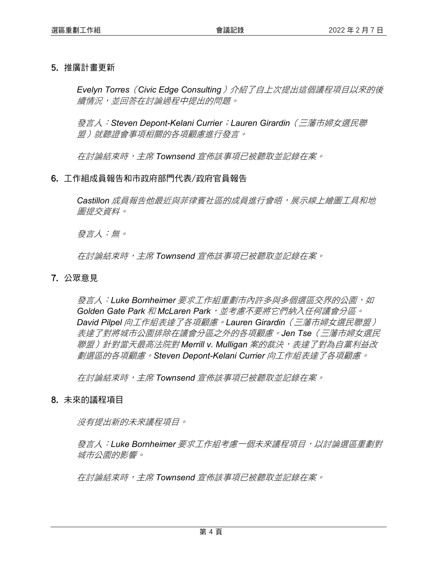#### 5. 推廣計畫更新

*Evelyn Torres*(*Civic Edge Consulting*)介紹了自上次提出這個議程項目以來的後 續情況,並回答在討論過程中提出的問題。

發言人:*Steven Depont-Kelani Currier*;*Lauren Girardin*(三藩市婦女選民聯 盟)就聽證會事項相關的各項顧慮進行發言。

在討論結束時,主席 *Townsend* 宣佈該事項已被聽取並記錄在案。

#### 6. 工作組成員報告和市政府部門代表/政府官員報告

*Castillon* 成員報告他最近與菲律賓社區的成員進行會晤,展示線上繪圖工具和地 圖提交資料。

發言人:無。

在討論結束時,主席 *Townsend* 宣佈該事項已被聽取並記錄在案。

#### 7. 公眾意見

**發言人:Luke Bornheimer** 要求工作組重劃市內許多與多個選區交界的公園,如 *Golden Gate Park* 和 *McLaren Park*,並考慮不要將它們納入任何議會分區。 *David Pilpel* 向工作組表達了各項顧慮。*Lauren Girardin*(三藩市婦女選民聯盟) 表達了對將城市公園排除在議會分區之外的各項顧慮。*Jen Tse*(三藩市婦女選民 聯盟)針對當天最高法院對 *Merrill v. Mulligan* 案的裁決,表達了對為自黨利益改 劃選區的各項顧慮。*Steven Depont-Kelani Currier* 向工作組表達了各項顧慮。

在討論結束時,主席 *Townsend* 宣佈該事項已被聽取並記錄在案。

#### 8. 未來的議程項目

沒有提出新的未來議程項目。

發言人:*Luke Bornheimer* 要求工作組考慮一個未來議程項目,以討論選區重劃對 城市公園的影響。

在討論結束時,主席 *Townsend* 宣佈該事項已被聽取並記錄在案。